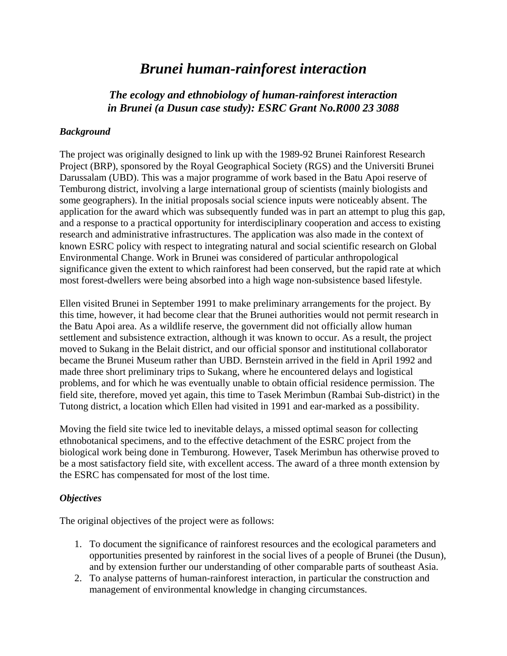# *Brunei human-rainforest interaction*

# *The ecology and ethnobiology of human-rainforest interaction in Brunei (a Dusun case study): ESRC Grant No.R000 23 3088*

### *Background*

The project was originally designed to link up with the 1989-92 Brunei Rainforest Research Project (BRP), sponsored by the Royal Geographical Society (RGS) and the Universiti Brunei Darussalam (UBD). This was a major programme of work based in the Batu Apoi reserve of Temburong district, involving a large international group of scientists (mainly biologists and some geographers). In the initial proposals social science inputs were noticeably absent. The application for the award which was subsequently funded was in part an attempt to plug this gap, and a response to a practical opportunity for interdisciplinary cooperation and access to existing research and administrative infrastructures. The application was also made in the context of known ESRC policy with respect to integrating natural and social scientific research on Global Environmental Change. Work in Brunei was considered of particular anthropological significance given the extent to which rainforest had been conserved, but the rapid rate at which most forest-dwellers were being absorbed into a high wage non-subsistence based lifestyle.

Ellen visited Brunei in September 1991 to make preliminary arrangements for the project. By this time, however, it had become clear that the Brunei authorities would not permit research in the Batu Apoi area. As a wildlife reserve, the government did not officially allow human settlement and subsistence extraction, although it was known to occur. As a result, the project moved to Sukang in the Belait district, and our official sponsor and institutional collaborator became the Brunei Museum rather than UBD. Bernstein arrived in the field in April 1992 and made three short preliminary trips to Sukang, where he encountered delays and logistical problems, and for which he was eventually unable to obtain official residence permission. The field site, therefore, moved yet again, this time to Tasek Merimbun (Rambai Sub-district) in the Tutong district, a location which Ellen had visited in 1991 and ear-marked as a possibility.

Moving the field site twice led to inevitable delays, a missed optimal season for collecting ethnobotanical specimens, and to the effective detachment of the ESRC project from the biological work being done in Temburong. However, Tasek Merimbun has otherwise proved to be a most satisfactory field site, with excellent access. The award of a three month extension by the ESRC has compensated for most of the lost time.

#### *Objectives*

The original objectives of the project were as follows:

- 1. To document the significance of rainforest resources and the ecological parameters and opportunities presented by rainforest in the social lives of a people of Brunei (the Dusun), and by extension further our understanding of other comparable parts of southeast Asia.
- 2. To analyse patterns of human-rainforest interaction, in particular the construction and management of environmental knowledge in changing circumstances.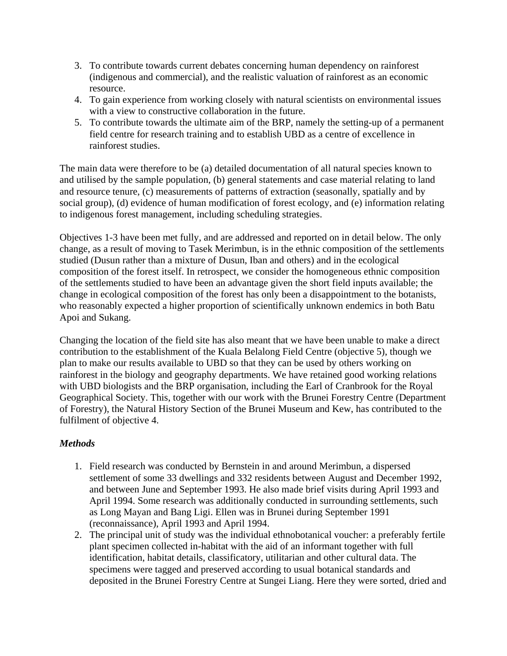- 3. To contribute towards current debates concerning human dependency on rainforest (indigenous and commercial), and the realistic valuation of rainforest as an economic resource.
- 4. To gain experience from working closely with natural scientists on environmental issues with a view to constructive collaboration in the future.
- 5. To contribute towards the ultimate aim of the BRP, namely the setting-up of a permanent field centre for research training and to establish UBD as a centre of excellence in rainforest studies.

The main data were therefore to be (a) detailed documentation of all natural species known to and utilised by the sample population, (b) general statements and case material relating to land and resource tenure, (c) measurements of patterns of extraction (seasonally, spatially and by social group), (d) evidence of human modification of forest ecology, and (e) information relating to indigenous forest management, including scheduling strategies.

Objectives 1-3 have been met fully, and are addressed and reported on in detail below. The only change, as a result of moving to Tasek Merimbun, is in the ethnic composition of the settlements studied (Dusun rather than a mixture of Dusun, Iban and others) and in the ecological composition of the forest itself. In retrospect, we consider the homogeneous ethnic composition of the settlements studied to have been an advantage given the short field inputs available; the change in ecological composition of the forest has only been a disappointment to the botanists, who reasonably expected a higher proportion of scientifically unknown endemics in both Batu Apoi and Sukang.

Changing the location of the field site has also meant that we have been unable to make a direct contribution to the establishment of the Kuala Belalong Field Centre (objective 5), though we plan to make our results available to UBD so that they can be used by others working on rainforest in the biology and geography departments. We have retained good working relations with UBD biologists and the BRP organisation, including the Earl of Cranbrook for the Royal Geographical Society. This, together with our work with the Brunei Forestry Centre (Department of Forestry), the Natural History Section of the Brunei Museum and Kew, has contributed to the fulfilment of objective 4.

# *Methods*

- 1. Field research was conducted by Bernstein in and around Merimbun, a dispersed settlement of some 33 dwellings and 332 residents between August and December 1992, and between June and September 1993. He also made brief visits during April 1993 and April 1994. Some research was additionally conducted in surrounding settlements, such as Long Mayan and Bang Ligi. Ellen was in Brunei during September 1991 (reconnaissance), April 1993 and April 1994.
- 2. The principal unit of study was the individual ethnobotanical voucher: a preferably fertile plant specimen collected in-habitat with the aid of an informant together with full identification, habitat details, classificatory, utilitarian and other cultural data. The specimens were tagged and preserved according to usual botanical standards and deposited in the Brunei Forestry Centre at Sungei Liang. Here they were sorted, dried and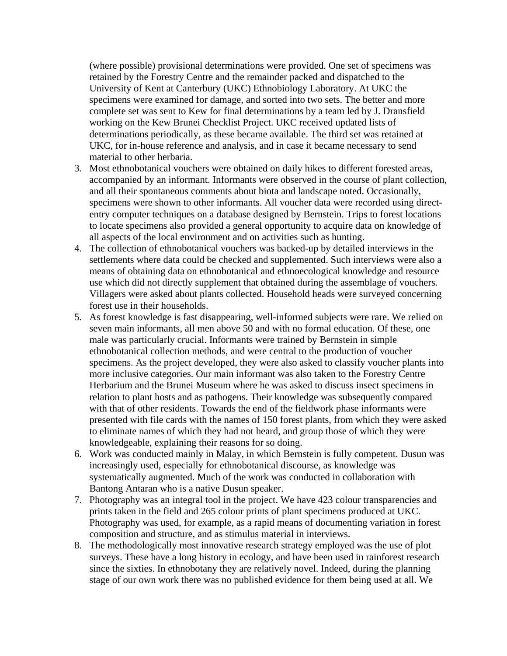(where possible) provisional determinations were provided. One set of specimens was retained by the Forestry Centre and the remainder packed and dispatched to the University of Kent at Canterbury (UKC) Ethnobiology Laboratory. At UKC the specimens were examined for damage, and sorted into two sets. The better and more complete set was sent to Kew for final determinations by a team led by J. Dransfield working on the Kew Brunei Checklist Project. UKC received updated lists of determinations periodically, as these became available. The third set was retained at UKC, for in-house reference and analysis, and in case it became necessary to send material to other herbaria.

- 3. Most ethnobotanical vouchers were obtained on daily hikes to different forested areas, accompanied by an informant. Informants were observed in the course of plant collection, and all their spontaneous comments about biota and landscape noted. Occasionally, specimens were shown to other informants. All voucher data were recorded using directentry computer techniques on a database designed by Bernstein. Trips to forest locations to locate specimens also provided a general opportunity to acquire data on knowledge of all aspects of the local environment and on activities such as hunting.
- 4. The collection of ethnobotanical vouchers was backed-up by detailed interviews in the settlements where data could be checked and supplemented. Such interviews were also a means of obtaining data on ethnobotanical and ethnoecological knowledge and resource use which did not directly supplement that obtained during the assemblage of vouchers. Villagers were asked about plants collected. Household heads were surveyed concerning forest use in their households.
- 5. As forest knowledge is fast disappearing, well-informed subjects were rare. We relied on seven main informants, all men above 50 and with no formal education. Of these, one male was particularly crucial. Informants were trained by Bernstein in simple ethnobotanical collection methods, and were central to the production of voucher specimens. As the project developed, they were also asked to classify voucher plants into more inclusive categories. Our main informant was also taken to the Forestry Centre Herbarium and the Brunei Museum where he was asked to discuss insect specimens in relation to plant hosts and as pathogens. Their knowledge was subsequently compared with that of other residents. Towards the end of the fieldwork phase informants were presented with file cards with the names of 150 forest plants, from which they were asked to eliminate names of which they had not heard, and group those of which they were knowledgeable, explaining their reasons for so doing.
- 6. Work was conducted mainly in Malay, in which Bernstein is fully competent. Dusun was increasingly used, especially for ethnobotanical discourse, as knowledge was systematically augmented. Much of the work was conducted in collaboration with Bantong Antaran who is a native Dusun speaker.
- 7. Photography was an integral tool in the project. We have 423 colour transparencies and prints taken in the field and 265 colour prints of plant specimens produced at UKC. Photography was used, for example, as a rapid means of documenting variation in forest composition and structure, and as stimulus material in interviews.
- 8. The methodologically most innovative research strategy employed was the use of plot surveys. These have a long history in ecology, and have been used in rainforest research since the sixties. In ethnobotany they are relatively novel. Indeed, during the planning stage of our own work there was no published evidence for them being used at all. We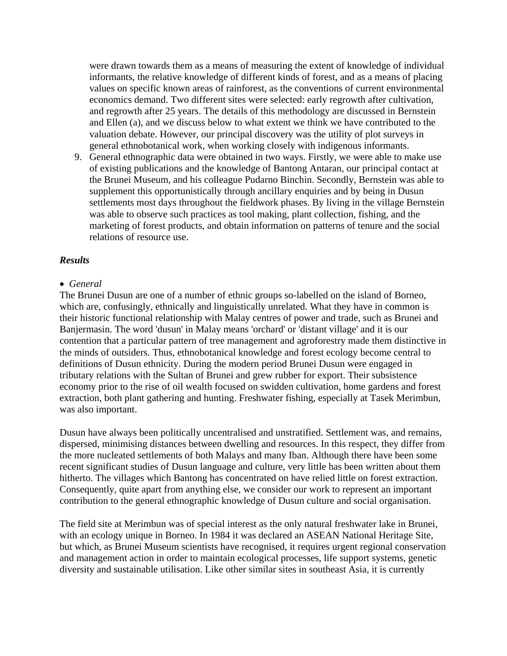were drawn towards them as a means of measuring the extent of knowledge of individual informants, the relative knowledge of different kinds of forest, and as a means of placing values on specific known areas of rainforest, as the conventions of current environmental economics demand. Two different sites were selected: early regrowth after cultivation, and regrowth after 25 years. The details of this methodology are discussed in Bernstein and Ellen (a), and we discuss below to what extent we think we have contributed to the valuation debate. However, our principal discovery was the utility of plot surveys in general ethnobotanical work, when working closely with indigenous informants.

9. General ethnographic data were obtained in two ways. Firstly, we were able to make use of existing publications and the knowledge of Bantong Antaran, our principal contact at the Brunei Museum, and his colleague Pudarno Binchin. Secondly, Bernstein was able to supplement this opportunistically through ancillary enquiries and by being in Dusun settlements most days throughout the fieldwork phases. By living in the village Bernstein was able to observe such practices as tool making, plant collection, fishing, and the marketing of forest products, and obtain information on patterns of tenure and the social relations of resource use.

#### *Results*

#### • *General*

The Brunei Dusun are one of a number of ethnic groups so-labelled on the island of Borneo, which are, confusingly, ethnically and linguistically unrelated. What they have in common is their historic functional relationship with Malay centres of power and trade, such as Brunei and Banjermasin. The word 'dusun' in Malay means 'orchard' or 'distant village' and it is our contention that a particular pattern of tree management and agroforestry made them distinctive in the minds of outsiders. Thus, ethnobotanical knowledge and forest ecology become central to definitions of Dusun ethnicity. During the modern period Brunei Dusun were engaged in tributary relations with the Sultan of Brunei and grew rubber for export. Their subsistence economy prior to the rise of oil wealth focused on swidden cultivation, home gardens and forest extraction, both plant gathering and hunting. Freshwater fishing, especially at Tasek Merimbun, was also important.

Dusun have always been politically uncentralised and unstratified. Settlement was, and remains, dispersed, minimising distances between dwelling and resources. In this respect, they differ from the more nucleated settlements of both Malays and many Iban. Although there have been some recent significant studies of Dusun language and culture, very little has been written about them hitherto. The villages which Bantong has concentrated on have relied little on forest extraction. Consequently, quite apart from anything else, we consider our work to represent an important contribution to the general ethnographic knowledge of Dusun culture and social organisation.

The field site at Merimbun was of special interest as the only natural freshwater lake in Brunei, with an ecology unique in Borneo. In 1984 it was declared an ASEAN National Heritage Site, but which, as Brunei Museum scientists have recognised, it requires urgent regional conservation and management action in order to maintain ecological processes, life support systems, genetic diversity and sustainable utilisation. Like other similar sites in southeast Asia, it is currently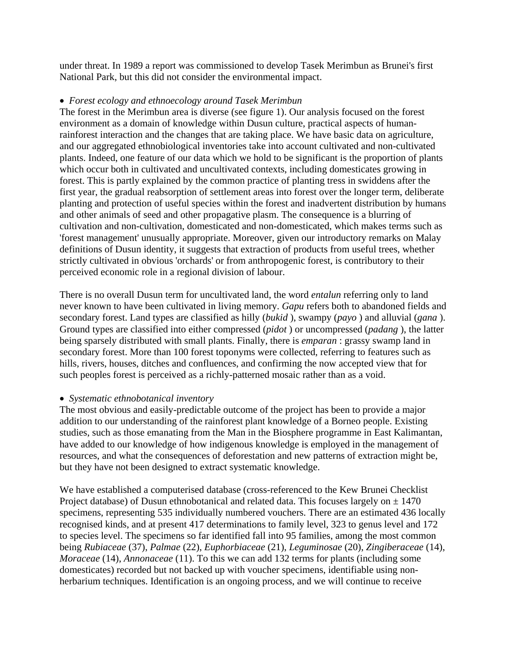under threat. In 1989 a report was commissioned to develop Tasek Merimbun as Brunei's first National Park, but this did not consider the environmental impact.

## • *Forest ecology and ethnoecology around Tasek Merimbun*

The forest in the Merimbun area is diverse (see figure 1). Our analysis focused on the forest environment as a domain of knowledge within Dusun culture, practical aspects of humanrainforest interaction and the changes that are taking place. We have basic data on agriculture, and our aggregated ethnobiological inventories take into account cultivated and non-cultivated plants. Indeed, one feature of our data which we hold to be significant is the proportion of plants which occur both in cultivated and uncultivated contexts, including domesticates growing in forest. This is partly explained by the common practice of planting tress in swiddens after the first year, the gradual reabsorption of settlement areas into forest over the longer term, deliberate planting and protection of useful species within the forest and inadvertent distribution by humans and other animals of seed and other propagative plasm. The consequence is a blurring of cultivation and non-cultivation, domesticated and non-domesticated, which makes terms such as 'forest management' unusually appropriate. Moreover, given our introductory remarks on Malay definitions of Dusun identity, it suggests that extraction of products from useful trees, whether strictly cultivated in obvious 'orchards' or from anthropogenic forest, is contributory to their perceived economic role in a regional division of labour.

There is no overall Dusun term for uncultivated land, the word *entalun* referring only to land never known to have been cultivated in living memory. *Gapu* refers both to abandoned fields and secondary forest. Land types are classified as hilly (*bukid* ), swampy (*payo* ) and alluvial (*gana* ). Ground types are classified into either compressed (*pidot* ) or uncompressed (*padang* ), the latter being sparsely distributed with small plants. Finally, there is *emparan* : grassy swamp land in secondary forest. More than 100 forest toponyms were collected, referring to features such as hills, rivers, houses, ditches and confluences, and confirming the now accepted view that for such peoples forest is perceived as a richly-patterned mosaic rather than as a void.

# • *Systematic ethnobotanical inventory*

The most obvious and easily-predictable outcome of the project has been to provide a major addition to our understanding of the rainforest plant knowledge of a Borneo people. Existing studies, such as those emanating from the Man in the Biosphere programme in East Kalimantan, have added to our knowledge of how indigenous knowledge is employed in the management of resources, and what the consequences of deforestation and new patterns of extraction might be, but they have not been designed to extract systematic knowledge.

We have established a computerised database (cross-referenced to the Kew Brunei Checklist Project database) of Dusun ethnobotanical and related data. This focuses largely on  $\pm$  1470 specimens, representing 535 individually numbered vouchers. There are an estimated 436 locally recognised kinds, and at present 417 determinations to family level, 323 to genus level and 172 to species level. The specimens so far identified fall into 95 families, among the most common being *Rubiaceae* (37), *Palmae* (22), *Euphorbiaceae* (21), *Leguminosae* (20), *Zingiberaceae* (14), *Moraceae* (14), *Annonaceae* (11). To this we can add 132 terms for plants (including some domesticates) recorded but not backed up with voucher specimens, identifiable using nonherbarium techniques. Identification is an ongoing process, and we will continue to receive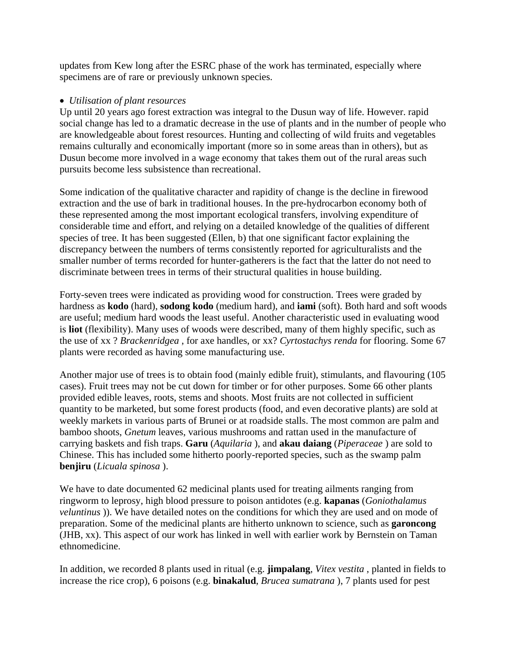updates from Kew long after the ESRC phase of the work has terminated, especially where specimens are of rare or previously unknown species.

### • *Utilisation of plant resources*

Up until 20 years ago forest extraction was integral to the Dusun way of life. However. rapid social change has led to a dramatic decrease in the use of plants and in the number of people who are knowledgeable about forest resources. Hunting and collecting of wild fruits and vegetables remains culturally and economically important (more so in some areas than in others), but as Dusun become more involved in a wage economy that takes them out of the rural areas such pursuits become less subsistence than recreational.

Some indication of the qualitative character and rapidity of change is the decline in firewood extraction and the use of bark in traditional houses. In the pre-hydrocarbon economy both of these represented among the most important ecological transfers, involving expenditure of considerable time and effort, and relying on a detailed knowledge of the qualities of different species of tree. It has been suggested (Ellen, b) that one significant factor explaining the discrepancy between the numbers of terms consistently reported for agriculturalists and the smaller number of terms recorded for hunter-gatherers is the fact that the latter do not need to discriminate between trees in terms of their structural qualities in house building.

Forty-seven trees were indicated as providing wood for construction. Trees were graded by hardness as **kodo** (hard), **sodong kodo** (medium hard), and **iami** (soft). Both hard and soft woods are useful; medium hard woods the least useful. Another characteristic used in evaluating wood is **liot** (flexibility). Many uses of woods were described, many of them highly specific, such as the use of xx ? *Brackenridgea* , for axe handles, or xx? *Cyrtostachys renda* for flooring. Some 67 plants were recorded as having some manufacturing use.

Another major use of trees is to obtain food (mainly edible fruit), stimulants, and flavouring (105 cases). Fruit trees may not be cut down for timber or for other purposes. Some 66 other plants provided edible leaves, roots, stems and shoots. Most fruits are not collected in sufficient quantity to be marketed, but some forest products (food, and even decorative plants) are sold at weekly markets in various parts of Brunei or at roadside stalls. The most common are palm and bamboo shoots, *Gnetum* leaves, various mushrooms and rattan used in the manufacture of carrying baskets and fish traps. **Garu** (*Aquilaria* ), and **akau daiang** (*Piperaceae* ) are sold to Chinese. This has included some hitherto poorly-reported species, such as the swamp palm **benjiru** (*Licuala spinosa* ).

We have to date documented 62 medicinal plants used for treating ailments ranging from ringworm to leprosy, high blood pressure to poison antidotes (e.g. **kapanas** (*Goniothalamus veluntinus* )). We have detailed notes on the conditions for which they are used and on mode of preparation. Some of the medicinal plants are hitherto unknown to science, such as **garoncong** (JHB, xx). This aspect of our work has linked in well with earlier work by Bernstein on Taman ethnomedicine.

In addition, we recorded 8 plants used in ritual (e.g. **jimpalang**, *Vitex vestita* , planted in fields to increase the rice crop), 6 poisons (e.g. **binakalud**, *Brucea sumatrana* ), 7 plants used for pest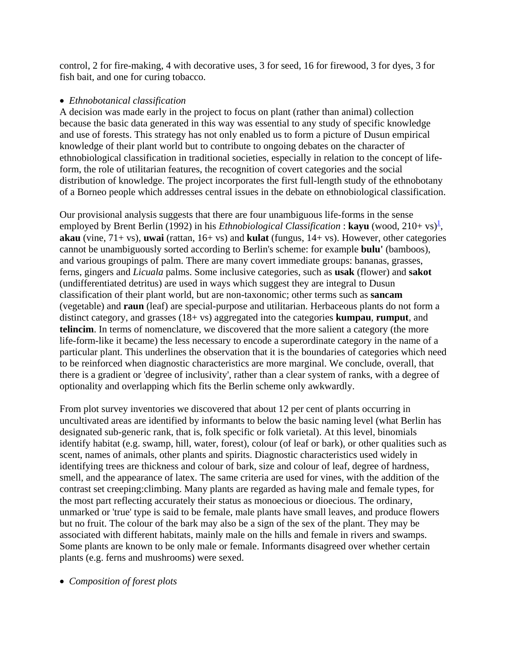control, 2 for fire-making, 4 with decorative uses, 3 for seed, 16 for firewood, 3 for dyes, 3 for fish bait, and one for curing tobacco.

### • *Ethnobotanical classification*

A decision was made early in the project to focus on plant (rather than animal) collection because the basic data generated in this way was essential to any study of specific knowledge and use of forests. This strategy has not only enabled us to form a picture of Dusun empirical knowledge of their plant world but to contribute to ongoing debates on the character of ethnobiological classification in traditional societies, especially in relation to the concept of lifeform, the role of utilitarian features, the recognition of covert categories and the social distribution of knowledge. The project incorporates the first full-length study of the ethnobotany of a Borneo people which addresses central issues in the debate on ethnobiological classification.

Our provisional analysis suggests that there are four unambiguous life-forms in the sense employed by Brent Berlin (1992) in his *Ethnobiological Classification* : **kayu** (wood, 210+ vs)<sup>1</sup>, **akau** (vine, 71+ vs), **uwai** (rattan, 16+ vs) and **kulat** (fungus, 14+ vs). However, other categories cannot be unambiguously sorted according to Berlin's scheme: for example **bulu'** (bamboos), and various groupings of palm. There are many covert immediate groups: bananas, grasses, ferns, gingers and *Licuala* palms. Some inclusive categories, such as **usak** (flower) and **sakot** (undifferentiated detritus) are used in ways which suggest they are integral to Dusun classification of their plant world, but are non-taxonomic; other terms such as **sancam** (vegetable) and **raun** (leaf) are special-purpose and utilitarian. Herbaceous plants do not form a distinct category, and grasses (18+ vs) aggregated into the categories **kumpau**, **rumput**, and **telincim**. In terms of nomenclature, we discovered that the more salient a category (the more life-form-like it became) the less necessary to encode a superordinate category in the name of a particular plant. This underlines the observation that it is the boundaries of categories which need to be reinforced when diagnostic characteristics are more marginal. We conclude, overall, that there is a gradient or 'degree of inclusivity', rather than a clear system of ranks, with a degree of optionality and overlapping which fits the Berlin scheme only awkwardly.

From plot survey inventories we discovered that about 12 per cent of plants occurring in uncultivated areas are identified by informants to below the basic naming level (what Berlin has designated sub-generic rank, that is, folk specific or folk varietal). At this level, binomials identify habitat (e.g. swamp, hill, water, forest), colour (of leaf or bark), or other qualities such as scent, names of animals, other plants and spirits. Diagnostic characteristics used widely in identifying trees are thickness and colour of bark, size and colour of leaf, degree of hardness, smell, and the appearance of latex. The same criteria are used for vines, with the addition of the contrast set creeping:climbing. Many plants are regarded as having male and female types, for the most part reflecting accurately their status as monoecious or dioecious. The ordinary, unmarked or 'true' type is said to be female, male plants have small leaves, and produce flowers but no fruit. The colour of the bark may also be a sign of the sex of the plant. They may be associated with different habitats, mainly male on the hills and female in rivers and swamps. Some plants are known to be only male or female. Informants disagreed over whether certain plants (e.g. ferns and mushrooms) were sexed.

• *Composition of forest plots*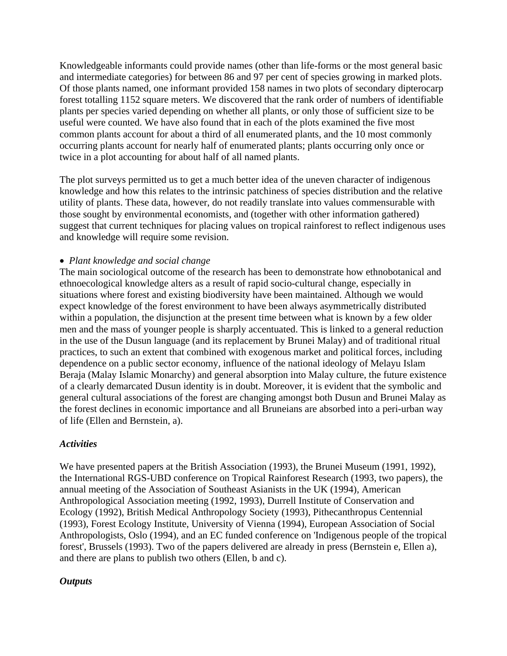Knowledgeable informants could provide names (other than life-forms or the most general basic and intermediate categories) for between 86 and 97 per cent of species growing in marked plots. Of those plants named, one informant provided 158 names in two plots of secondary dipterocarp forest totalling 1152 square meters. We discovered that the rank order of numbers of identifiable plants per species varied depending on whether all plants, or only those of sufficient size to be useful were counted. We have also found that in each of the plots examined the five most common plants account for about a third of all enumerated plants, and the 10 most commonly occurring plants account for nearly half of enumerated plants; plants occurring only once or twice in a plot accounting for about half of all named plants.

The plot surveys permitted us to get a much better idea of the uneven character of indigenous knowledge and how this relates to the intrinsic patchiness of species distribution and the relative utility of plants. These data, however, do not readily translate into values commensurable with those sought by environmental economists, and (together with other information gathered) suggest that current techniques for placing values on tropical rainforest to reflect indigenous uses and knowledge will require some revision.

### • *Plant knowledge and social change*

The main sociological outcome of the research has been to demonstrate how ethnobotanical and ethnoecological knowledge alters as a result of rapid socio-cultural change, especially in situations where forest and existing biodiversity have been maintained. Although we would expect knowledge of the forest environment to have been always asymmetrically distributed within a population, the disjunction at the present time between what is known by a few older men and the mass of younger people is sharply accentuated. This is linked to a general reduction in the use of the Dusun language (and its replacement by Brunei Malay) and of traditional ritual practices, to such an extent that combined with exogenous market and political forces, including dependence on a public sector economy, influence of the national ideology of Melayu Islam Beraja (Malay Islamic Monarchy) and general absorption into Malay culture, the future existence of a clearly demarcated Dusun identity is in doubt. Moreover, it is evident that the symbolic and general cultural associations of the forest are changing amongst both Dusun and Brunei Malay as the forest declines in economic importance and all Bruneians are absorbed into a peri-urban way of life (Ellen and Bernstein, a).

### *Activities*

We have presented papers at the British Association (1993), the Brunei Museum (1991, 1992), the International RGS-UBD conference on Tropical Rainforest Research (1993, two papers), the annual meeting of the Association of Southeast Asianists in the UK (1994), American Anthropological Association meeting (1992, 1993), Durrell Institute of Conservation and Ecology (1992), British Medical Anthropology Society (1993), Pithecanthropus Centennial (1993), Forest Ecology Institute, University of Vienna (1994), European Association of Social Anthropologists, Oslo (1994), and an EC funded conference on 'Indigenous people of the tropical forest', Brussels (1993). Two of the papers delivered are already in press (Bernstein e, Ellen a), and there are plans to publish two others (Ellen, b and c).

### *Outputs*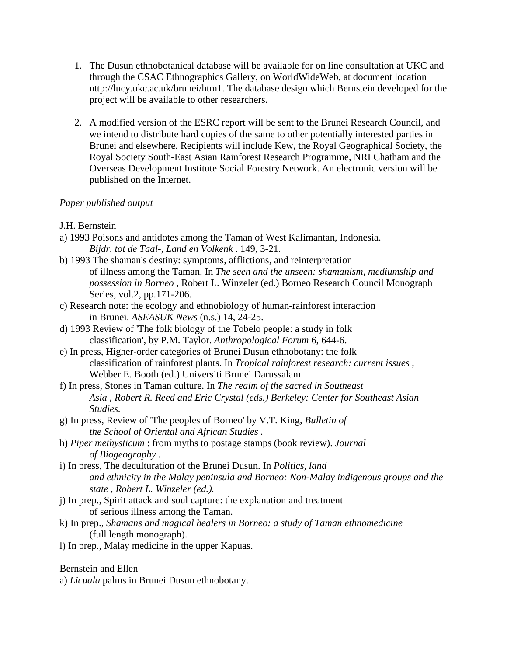- 1. The Dusun ethnobotanical database will be available for on line consultation at UKC and through the CSAC Ethnographics Gallery, on WorldWideWeb, at document location nttp://lucy.ukc.ac.uk/brunei/htm1. The database design which Bernstein developed for the project will be available to other researchers.
- 2. A modified version of the ESRC report will be sent to the Brunei Research Council, and we intend to distribute hard copies of the same to other potentially interested parties in Brunei and elsewhere. Recipients will include Kew, the Royal Geographical Society, the Royal Society South-East Asian Rainforest Research Programme, NRI Chatham and the Overseas Development Institute Social Forestry Network. An electronic version will be published on the Internet.

# *Paper published output*

- J.H. Bernstein
- a) 1993 Poisons and antidotes among the Taman of West Kalimantan, Indonesia. *Bijdr. tot de Taal-, Land en Volkenk* . 149, 3-21.
- b) 1993 The shaman's destiny: symptoms, afflictions, and reinterpretation of illness among the Taman. In *The seen and the unseen: shamanism, mediumship and possession in Borneo* , Robert L. Winzeler (ed.) Borneo Research Council Monograph Series, vol.2, pp.171-206.
- c) Research note: the ecology and ethnobiology of human-rainforest interaction in Brunei. *ASEASUK News* (n.s.) 14, 24-25.
- d) 1993 Review of 'The folk biology of the Tobelo people: a study in folk classification', by P.M. Taylor. *Anthropological Forum* 6, 644-6.
- e) In press, Higher-order categories of Brunei Dusun ethnobotany: the folk classification of rainforest plants. In *Tropical rainforest research: current issues* , Webber E. Booth (ed.) Universiti Brunei Darussalam.
- f) In press, Stones in Taman culture. In *The realm of the sacred in Southeast Asia , Robert R. Reed and Eric Crystal (eds.) Berkeley: Center for Southeast Asian Studies.*
- g) In press, Review of 'The peoples of Borneo' by V.T. King, *Bulletin of the School of Oriental and African Studies .*
- h) *Piper methysticum* : from myths to postage stamps (book review). *Journal of Biogeography .*
- i) In press, The deculturation of the Brunei Dusun. In *Politics, land and ethnicity in the Malay peninsula and Borneo: Non-Malay indigenous groups and the state , Robert L. Winzeler (ed.).*
- j) In prep., Spirit attack and soul capture: the explanation and treatment of serious illness among the Taman.
- k) In prep., *Shamans and magical healers in Borneo: a study of Taman ethnomedicine*  (full length monograph).
- l) In prep., Malay medicine in the upper Kapuas.

Bernstein and Ellen

a) *Licuala* palms in Brunei Dusun ethnobotany.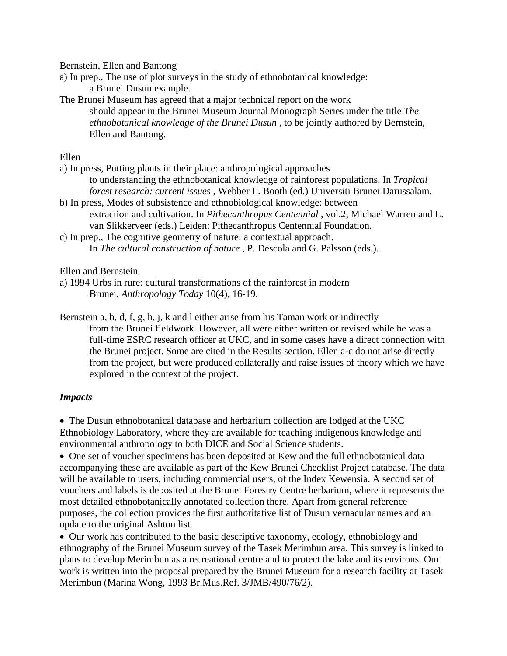Bernstein, Ellen and Bantong

a) In prep., The use of plot surveys in the study of ethnobotanical knowledge: a Brunei Dusun example.

The Brunei Museum has agreed that a major technical report on the work should appear in the Brunei Museum Journal Monograph Series under the title *The ethnobotanical knowledge of the Brunei Dusun* , to be jointly authored by Bernstein, Ellen and Bantong.

Ellen

- a) In press, Putting plants in their place: anthropological approaches to understanding the ethnobotanical knowledge of rainforest populations. In *Tropical forest research: current issues* , Webber E. Booth (ed.) Universiti Brunei Darussalam.
- b) In press, Modes of subsistence and ethnobiological knowledge: between extraction and cultivation. In *Pithecanthropus Centennial* , vol.2, Michael Warren and L. van Slikkerveer (eds.) Leiden: Pithecanthropus Centennial Foundation.
- c) In prep., The cognitive geometry of nature: a contextual approach. In *The cultural construction of nature* , P. Descola and G. Palsson (eds.).

Ellen and Bernstein

- a) 1994 Urbs in rure: cultural transformations of the rainforest in modern Brunei, *Anthropology Today* 10(4), 16-19.
- Bernstein a, b, d, f, g, h, j, k and l either arise from his Taman work or indirectly from the Brunei fieldwork. However, all were either written or revised while he was a full-time ESRC research officer at UKC, and in some cases have a direct connection with the Brunei project. Some are cited in the Results section. Ellen a-c do not arise directly from the project, but were produced collaterally and raise issues of theory which we have explored in the context of the project.

# *Impacts*

• The Dusun ethnobotanical database and herbarium collection are lodged at the UKC Ethnobiology Laboratory, where they are available for teaching indigenous knowledge and environmental anthropology to both DICE and Social Science students.

• One set of voucher specimens has been deposited at Kew and the full ethnobotanical data accompanying these are available as part of the Kew Brunei Checklist Project database. The data will be available to users, including commercial users, of the Index Kewensia. A second set of vouchers and labels is deposited at the Brunei Forestry Centre herbarium, where it represents the most detailed ethnobotanically annotated collection there. Apart from general reference purposes, the collection provides the first authoritative list of Dusun vernacular names and an update to the original Ashton list.

• Our work has contributed to the basic descriptive taxonomy, ecology, ethnobiology and ethnography of the Brunei Museum survey of the Tasek Merimbun area. This survey is linked to plans to develop Merimbun as a recreational centre and to protect the lake and its environs. Our work is written into the proposal prepared by the Brunei Museum for a research facility at Tasek Merimbun (Marina Wong, 1993 Br.Mus.Ref. 3/JMB/490/76/2).